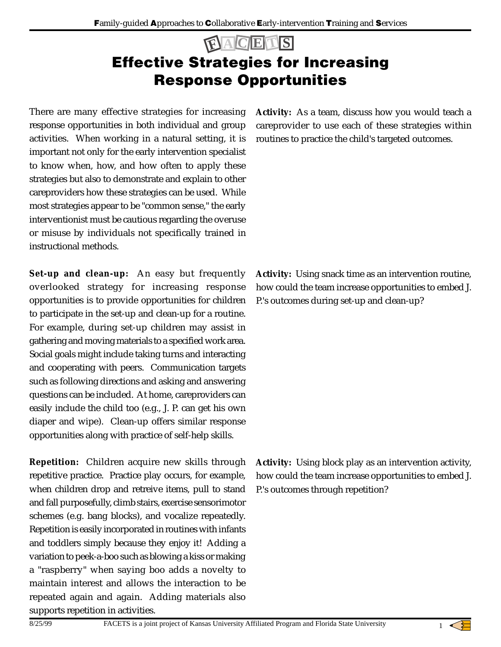# Effective Strategies for Increasing Response Opportunities **F A C E T S**

There are many effective strategies for increasing response opportunities in both individual and group activities. When working in a natural setting, it is important not only for the early intervention specialist to know when, how, and how often to apply these strategies but also to demonstrate and explain to other careproviders how these strategies can be used. While most strategies appear to be "common sense," the early interventionist must be cautious regarding the overuse or misuse by individuals not specifically trained in instructional methods.

**Set-up and clean-up:** An easy but frequently overlooked strategy for increasing response opportunities is to provide opportunities for children to participate in the set-up and clean-up for a routine. For example, during set-up children may assist in gathering and moving materials to a specified work area. Social goals might include taking turns and interacting and cooperating with peers. Communication targets such as following directions and asking and answering questions can be included. At home, careproviders can easily include the child too (e.g., J. P. can get his own diaper and wipe). Clean-up offers similar response opportunities along with practice of self-help skills.

**Repetition:** Children acquire new skills through repetitive practice. Practice play occurs, for example, when children drop and retreive items, pull to stand and fall purposefully, climb stairs, exercise sensorimotor schemes (e.g. bang blocks), and vocalize repeatedly. Repetition is easily incorporated in routines with infants and toddlers simply because they enjoy it! Adding a variation to peek-a-boo such as blowing a kiss or making a "raspberry" when saying boo adds a novelty to maintain interest and allows the interaction to be repeated again and again. Adding materials also supports repetition in activities.

**Activity:** As a team, discuss how you would teach a careprovider to use each of these strategies within routines to practice the child's targeted outcomes.

**Activity:** Using snack time as an intervention routine, how could the team increase opportunities to embed J. P.'s outcomes during set-up and clean-up?

**Activity:** Using block play as an intervention activity, how could the team increase opportunities to embed J. P.'s outcomes through repetition?

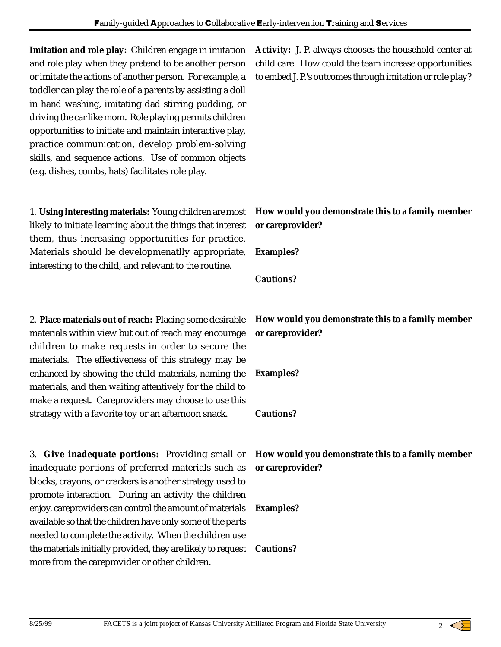**Imitation and role play:** Children engage in imitation and role play when they pretend to be another person or imitate the actions of another person. For example, a toddler can play the role of a parents by assisting a doll in hand washing, imitating dad stirring pudding, or driving the car like mom. Role playing permits children opportunities to initiate and maintain interactive play, practice communication, develop problem-solving skills, and sequence actions. Use of common objects (e.g. dishes, combs, hats) facilitates role play.

1. **Using interesting materials:** Young children are most likely to initiate learning about the things that interest them, thus increasing opportunities for practice. Materials should be developmenatlly appropriate, interesting to the child, and relevant to the routine.

2. **Place materials out of reach:** Placing some desirable materials within view but out of reach may encourage children to make requests in order to secure the materials. The effectiveness of this strategy may be enhanced by showing the child materials, naming the materials, and then waiting attentively for the child to make a request. Careproviders may choose to use this strategy with a favorite toy or an afternoon snack.

3. **Give inadequate portions:** Providing small or inadequate portions of preferred materials such as blocks, crayons, or crackers is another strategy used to promote interaction. During an activity the children enjoy, careproviders can control the amount of materials available so that the children have only some of the parts needed to complete the activity. When the children use the materials initially provided, they are likely to request more from the careprovider or other children.

**Activity:** J. P. always chooses the household center at child care. How could the team increase opportunities to embed J. P.'s outcomes through imitation or role play?

### **How would you demonstrate this to a family member or careprovider?**

**Examples?**

**Cautions?**

## **How would you demonstrate this to a family member or careprovider?**

**Examples?**

#### **Cautions?**

**How would you demonstrate this to a family member or careprovider?**

#### **Examples?**

#### **Cautions?**